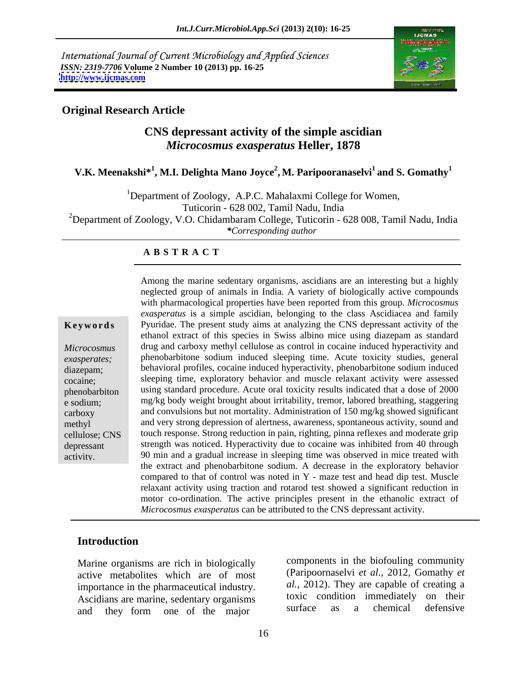International Journal of Current Microbiology and Applied Sciences *ISSN: 2319-7706* **Volume 2 Number 10 (2013) pp. 16-25 <http://www.ijcmas.com>**



## **Original Research Article**

# **CNS depressant activity of the simple ascidian**  *Microcosmus exasperatus* **Heller, 1878**

## **V.K. Meenakshi\*<sup>1</sup> , M.I. Delighta Mano Joyce<sup>2</sup> , M. Paripooranaselvi1 and S. Gomathy1**

<sup>1</sup>Department of Zoology, A.P.C. Mahalaxmi College for Women, Tuticorin - 628 002, Tamil Nadu, India <sup>2</sup>Department of Zoology, V.O. Chidambaram College, Tuticorin - 628 008, Tamil Nadu, India *\*Corresponding author* 

### **A B S T R A C T**

**Keywords** Pyuridae. The present study aims at analyzing the CNS depressant activity of the *Microcosmus*  drug and carboxy methyl celluloseas control in cocaine induced hyperactivity and *exasperates;* phenobarbitone sodium induced sleeping time. Acute toxicity studies, general diazepam; behavioral profiles, cocaine induced hyperactivity, phenobarbitone sodium induced cocaine; sleeping time, exploratory behavior and muscle relaxant activity were assessed phenobarbiton using standard procedure. Acute oral toxicity results indicated that a dose of 2000 e sodium; mg/kg body weight brought about irritability, tremor, labored breathing, staggering carboxy and convulsions but not mortality. Administration of 150 mg/kg showed significant methyl and very strong depression of alertness, awareness, spontaneous activity, sound and cellulose; CNS touch response. Strong reduction in pain, righting, pinna reflexes and moderate grip depressant strength was noticed. Hyperactivity due to cocaine was inhibited from 40 through Among the marine sedentary organisms, ascidians are an interesting but a highly<br>
meglected group of animals in India. A variety of biologically active compounds<br>
extraportions is a simple ascidian, belonging to the class A neglected group of animals in India. A variety of biologically active compounds with pharmacological properties have been reported from this group. *Microcosmus exasperatus* is a simple ascidian, belonging to the class Ascidiacea and family ethanol extract of this species in Swiss albino mice using diazepam as standard 90 min and a gradual increase in sleeping time was observed in mice treated with the extract and phenobarbitone sodium. A decrease in the exploratory behavior compared to that of control was noted in Y - maze test and head dip test. Muscle relaxant activity using traction and rotarod test showed a significant reduction in motor co-ordination. The active principles present in the ethanolic extract of *Microcosmus exasperatus* can be attributed to the CNS depressant activity.

### **Introduction**

Marine organisms are rich in biologically active metabolites which are of most importance in the pharmaceutical industry. and they form one of the major

Ascidians are marine, sedentary organisms<br>and they form one of the major surface as a chemical defensive components in the biofouling community (Paripoornaselvi *et al.,* 2012, Gomathy *et al.,* 2012). They are capable of creating a toxic condition immediately on their surface as a chemical defensive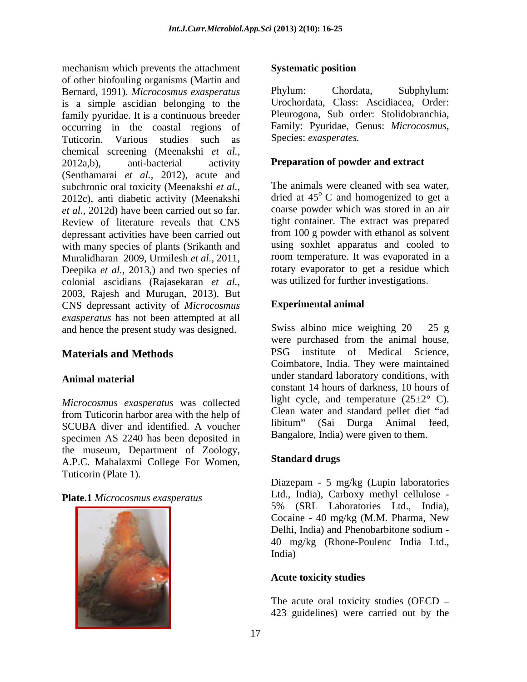mechanism which prevents the attachment Systematic position of other biofouling organisms (Martin and<br>
Bernard 1991) Microcosmus exasperatus Phylum: Chordata. Bernard, 1991). *Microcosmus exasperatus* is a simple ascidian belonging to the family pyuridae. It is a continuous breeder occurring in the coastal regions of Family: Pyuridae, G<br>Tuticorin. Various studies such as Species: exasperates. Tuticorin. Various studies such as chemical screening (Meenakshi *et al.,* 2012a,b), anti-bacterial activity **Preparation of powder and extract** (Senthamarai *et al.,* 2012), acute and subchronic oral toxicity (Meenakshi *et al.,* 2012c), anti diabetic activity (Meenakshi *et al.,* 2012d) have been carried out so far. Review of literature reveals that CNS depressant activities have been carried out with many species of plants (Srikanth and Muralidharan 2009, Urmilesh *et al.,* 2011, Deepika *et al.,* 2013,) and two species of colonial ascidians (Rajasekaran *et al.,* 2003, Rajesh and Murugan, 2013). But CNS depressant activity of *Microcosmus exasperatus* has not been attempted at all and hence the present study was designed.

*Microcosmus exasperatus* was collected from Tuticorin harbor area with the help of Clean water and standard pellet diet "ad SCUPA diver and identified A vougher libitum" (Sai Durga Animal feed. SCUBA diver and identified. A voucher specimen AS 2240 has been deposited in the museum, Department of Zoology,<br>A P.C. Mahalaxmi College For Women Standard drugs A.P.C. Mahalaxmi College For Women, Tuticorin (Plate 1).

### **Plate.1** *Microcosmus exasperatus*



### **Systematic position**

Phylum: Chordata, Subphylum: Urochordata, Class: Ascidiacea, Order: Pleurogona, Sub order: Stolidobranchia, Family: Pyuridae, Genus: *Microcosmus*,

The animals were cleaned with sea water, dried at 45<sup>°</sup> C and homogenized to get a coarse powder which was stored in an air tight container. The extract was prepared from 100 g powder with ethanol as solvent using soxhlet apparatus and cooled to room temperature. It was evaporated in a rotary evaporator to get a residue which was utilized for further investigations.

### **Experimental animal**

**Materials and Methods** PSG institute of Medical Science, Animal material **Animal material** and the standard laboratory conditions, with Swiss albino mice weighing  $20 - 25$  g were purchased from the animal house, Coimbatore, India. They were maintained constant 14 hours of darkness, 10 hours of light cycle, and temperature  $(25\pm2^{\circ} \text{ C})$ . Clean water and standard pellet diet "ad libitum" (Sai Durga Animal feed, Bangalore, India) were given to them.

## **Standard drugs**

Diazepam - 5 mg/kg (Lupin laboratories Ltd., India), Carboxy methyl cellulose - 5% (SRL Laboratories Ltd., India), Cocaine - 40 mg/kg (M.M. Pharma, New Delhi, India) and Phenobarbitone sodium - 40 mg/kg (Rhone-Poulenc India Ltd., India)

### **Acute toxicity studies**

The acute oral toxicity studies (OECD 423 guidelines) were carried out by the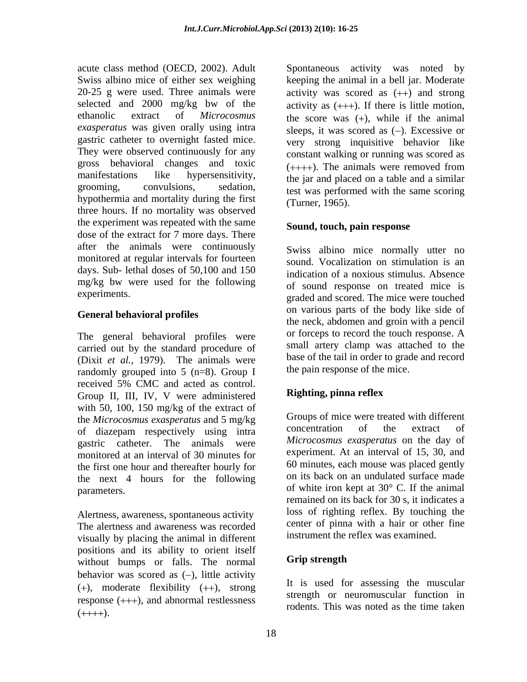acute class method (OECD, 2002). Adult Spontaneous activity was noted by Swiss albino mice of either sex weighing keeping the animal in a bell jar. Moderate 20-25 g were used. Three animals were activity was scored as  $(++)$  and strong selected and 2000 mg/kg bw of the activity as  $(++)$ . If there is little motion, ethanolic extract of *Microcosmus* the score was (+), while if the animal *exasperatus* was given orally using intra gastric catheter to overnight fasted mice. They were observed continuously for any gross behavioral changes and toxic  $(+++)$ . The animals were removed from manifestations like hypersensitivity, the jar and placed on a table and a similar grooming, convulsions, sedation, test was performed with the same scoring hypothermia and mortality during the first three hours. If no mortality was observed the experiment was repeated with the same dose of the extract for 7 more days. There after the animals were continuously monitored at regular intervals for fourteen days. Sub- lethal doses of 50,100 and 150 mg/kg bw were used for the following

## **General behavioral profiles**

The general behavioral profiles were carried out by the standard procedure of (Dixit *et al.,* 1979). The animals were randomly grouped into 5 (n=8). Group I received 5% CMC and acted as control. Group II, III, IV, V were administered Righting, pinna reflex with 50, 100, 150 mg/kg of the extract of the *Microcosmus exasperatus* and 5 mg/kg<br>of diazapam respectively using intraction concentration of the extract of of diazepam respectively using intra gastric catheter. The animals were *Microcosmus exasperatus* on the day of monitored at an interval of 30 minutes for the first one hour and thereafter hourly for the next 4 hours for the following parameters.  $\qquad \qquad$  of white iron kept at 30 $\degree$  C. If the animal

Alertness, awareness, spontaneous activity The alertness and awareness was recorded visually by placing the animal in different positions and its ability to orient itself<br>without burns or falls. The normal **Grip strength** without bumps or falls. The normal behavior was scored as  $(-)$ , little activity  $(+)$ , moderate flexibility  $(++)$ , strong response  $(++)$ , and abnormal restlessness  $(+++).$  Todents. This was noted as the time taken

sleeps, it was scored as  $(-)$ . Excessive or very strong inquisitive behavior like constant walking or running was scored as  $(+++)$ . The animals were removed from (Turner, 1965).

## **Sound, touch, pain response**

experiments.<br>
graded and scored. The mice were touched Swiss albino mice normally utter no sound. Vocalization on stimulation is an indication of a noxious stimulus. Absence of sound response on treated mice is on various parts of the body like side of the neck, abdomen and groin with a pencil or forceps to record the touch response. A small artery clamp was attached to the base of the tail in order to grade and record the pain response of the mice.

# **Righting, pinna reflex**

Groups of mice were treated with different concentration of the extract of experiment. At an interval of 15, 30, and 60 minutes, each mouse was placed gently on its back on an undulated surface made remained on its back for 30 s, it indicates a loss of righting reflex. By touching the center of pinna with a hair or other fine instrument the reflex was examined.

# **Grip strength**

It is used for assessing the muscular strength or neuromuscular function in rodents. This was noted as the time taken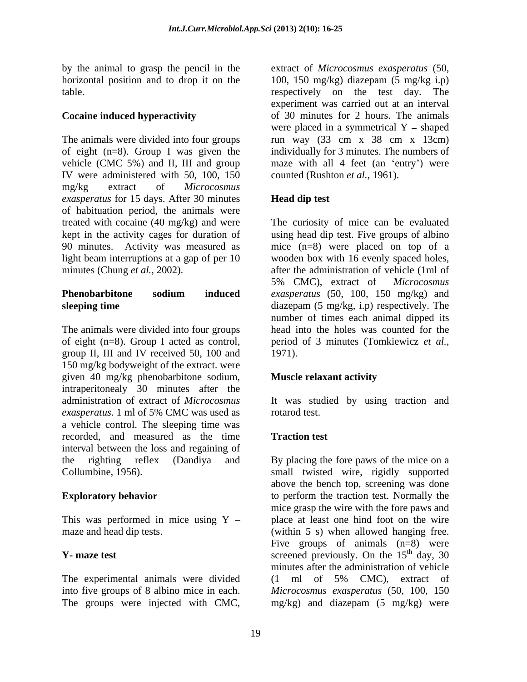by the animal to grasp the pencil in the

The animals were divided into four groups run way (33 cm x 38 cm x 13cm) of eight (n=8). Group I was given the individually for 3 minutes. The numbers of vehicle (CMC 5%) and II, III and group maze with all 4 feet (an 'entry') were IV were administered with 50, 100, 150 mg/kg extract of *Microcosmus exasperatus* for 15 days. After 30 minutes of habituation period, the animals were treated with cocaine (40 mg/kg) and were The curiosity of mice can be evaluated kept in the activity cages for duration of using head dip test. Five groups of albino 90 minutes. Activity was measured as mice (n=8) were placed on top of a light beam interruptions at a gap of per 10 wooden box with 16 evenly spaced holes,

The animals were divided into four groups of eight (n=8). Group I acted as control, period of 3 minutes (Tomkiewicz*et al.,* group II, III and IV received 50, 100 and 1971). 150 mg/kg bodyweight of the extract. were given 40 mg/kg phenobarbitone sodium, intraperitonealy 30 minutes after the administration of extract of *Microcosmus*  It was studied by using traction and *exasperatus*. 1 ml of 5% CMC was used as a vehicle control. The sleeping time was recorded, and measured as the time interval between the loss and regaining of the righting reflex (Dandiya and By placing the fore paws of the mice on a

The experimental animals were divided (1 ml of 5% CMC), extract of The groups were injected with CMC,

horizontal position and to drop it on the 100, 150 mg/kg) diazepam (5 mg/kg i.p) table. respectively on the test day. The **Cocaine induced hyperactivity** of 30 minutes for 2 hours. The animals extract of *Microcosmus exasperatus* (50, experiment was carried out at an interval were placed in a symmetrical  $Y - shaped$ counted (Rushton *et al.,* 1961).

# **Head dip test**

minutes (Chung *et al.*, 2002). **after the administration of vehicle** (1ml of **Phenobarbitone sodium induced** *exasperatus* (50, 100, 150 mg/kg) and **sleeping time** diazepam (5 mg/kg, i.p) respectively. The 5% CMC), extract of *Microcosmus*  number of times each animal dipped its head into the holes was counted for the 1971).

## **Muscle relaxant activity**

rotarod test.

# **Traction test**

Collumbine, 1956). small twisted wire, rigidly supported **Exploratory behavior Exploratory behavior Exploratory behavior Exploration** to perform the traction test. Normally the This was performed in mice using  $Y -$  place at least one hind foot on the wire maze and head dip tests. (within 5 s) when allowed hanging free. **Y**- maze test screened previously. On the 15<sup>th</sup> day, 30 into five groups of 8 albino mice in each. *Microcosmus exasperatus* (50, 100, 150 above the bench top, screening was done mice grasp the wire with the fore paws and Five groups of animals  $(n=8)$  were  $\mu$ <sup>th</sup> day, 30 minutes after the administration of vehicle (1 ml of 5% CMC), extract of mg/kg) and diazepam (5 mg/kg) were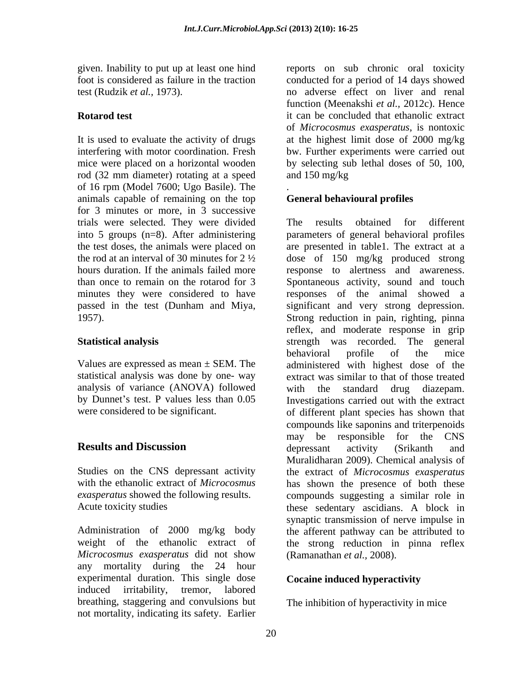rod (32 mm diameter) rotating at a speed of 16 rpm (Model 7600; Ugo Basile). The animals capable of remaining on the top for 3 minutes or more, in 3 successive trials were selected. They were divided into 5 groups (n=8). After administering

statistical analysis was done by one- way analysis of variance (ANOVA) followed by Dunnet's test. P values less than 0.05

*Microcosmus exasperatus* did not show any mortality during the 24 hour experimental duration. This single dose induced irritability, tremor, labored breathing, staggering and convulsions but not mortality, indicating its safety. Earlier

given. Inability to put up at least one hind reports on sub chronic oral toxicity foot is considered as failure in the traction conducted for a period of 14 days showed test (Rudzik *et al.,* 1973). no adverse effect on liver and renal **Rotarod test it can be concluded that ethanolic extract** It is used to evaluate the activity of drugs at the highest limit dose of 2000 mg/kg interfering with motor coordination. Fresh bw. Further experiments were carried out mice were placed on a horizontal wooden by selecting sub lethal doses of 50, 100, function (Meenakshi *et al.,* 2012c). Hence of *Microcosmus exasperatus*, is nontoxic and 150 mg/kg

### . **General behavioural profiles**

the test doses, the animals were placed on are presented in table1. The extract at a the rod at an interval of 30 minutes for  $2\frac{1}{2}$  dose of 150 mg/kg produced strong hours duration. If the animals failed more response to alertness and awareness. than once to remain on the rotarod for 3 Spontaneous activity, sound and touch minutes they were considered to have responses of the animal showed a passed in the test (Dunham and Miya, significant and very strong depression. 1957). Strong reduction in pain, righting, pinna **Statistical analysis** strength was recorded. The general Values are expressed as mean  $\pm$  SEM. The administered with highest dose of the were considered to be significant. of different plant species has shown that **Results and Discussion Example 2** depressant activity (Srikanth and Studies on the CNS depressant activity the extract of *Microcosmus exasperatus* with the ethanolic extract of *Microcosmus*  has shown the presence of both these *exasperatus* showed the following results. compounds suggesting a similar role in Acute toxicity studies these sedentary ascidians. A block in Administration of 2000 mg/kg body the afferent pathway can be attributed to weight of the ethanolic extract of the strong reduction in pinna reflex The results obtained for different parameters of general behavioral profiles reflex, and moderate response in grip behavioral profile of the mice extract was similar to that of those treated with the standard drug Investigations carried out with the extract compounds like saponins and triterpenoids may be responsible for the CNS depressant activity (Srikanth and Muralidharan 2009). Chemical analysis of synaptic transmission of nerve impulse in (Ramanathan *et al.,* 2008).

# **Cocaine induced hyperactivity**

The inhibition of hyperactivity in mice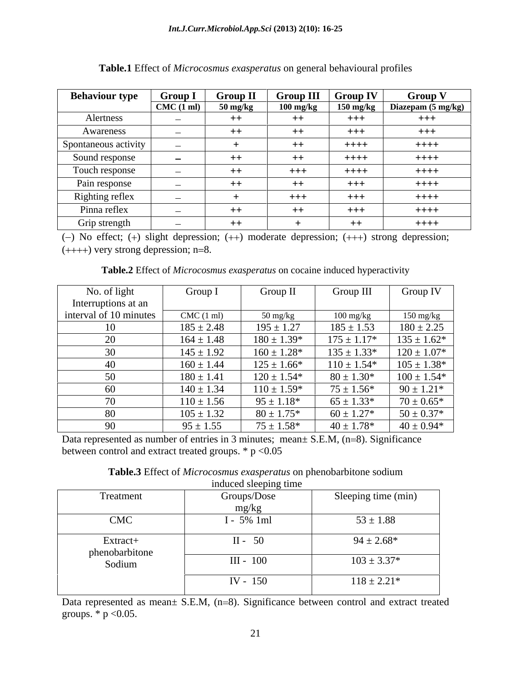| <b>Behaviour type</b> | Group 1                           | <b>Group II</b> | <b>Group III</b>    | $\blacksquare$ Group IV | Group              |
|-----------------------|-----------------------------------|-----------------|---------------------|-------------------------|--------------------|
|                       | CMC(1 ml)                         | 50 mg/kg        | $100 \text{ mg/kg}$ | $150 \text{ mg/kg}$     | Diazepam (5 mg/kg) |
| Alertness             | <b>Contract Contract Contract</b> | $++$            | $++$                | $+++$                   | $+++$              |
| Awareness             | <b>Contract Contract Contract</b> | $++$            | $++$                | $+++$                   | $+++$              |
| Spontaneous activity  | <b>Common Common</b>              |                 | $++$                | $++++-$                 | $++++-$            |
| Sound response        | $\sim$                            | $++$            | $++$                | $++++$                  | $++++-$            |
| Touch response        | <b>Common</b>                     | $++$            | $+++$               | $++++-$                 | $++++-$            |
| Pain response         | $\sim$                            | $++$            | $++$                | $+++$                   | $++++-$            |
| Righting reflex       | <b>Common</b>                     |                 | $+++$               | $+++$                   | $++++-$            |
| Pinna reflex          | $\sim$                            | $++$            | $++$                | $+++$                   | $++++-$            |
| Grip strength         | $\sim$                            | $++$            |                     | $++$                    | $++++-$            |

**Table.1** Effect of *Microcosmus exasperatus* on general behavioural profiles

 $(-)$  No effect;  $(+)$  slight depression;  $(++)$  moderate depression;  $(++)$  strong depression;  $(+++)$  very strong depression; n=8.

**Table.2** Effect of *Microcosmus exasperatus* on cocaine induced hyperactivity

| No. of light           | Group I             | Group II                         | Group III                         | Group IV            |
|------------------------|---------------------|----------------------------------|-----------------------------------|---------------------|
| Interruptions at an    |                     |                                  |                                   |                     |
| interval of 10 minutes | $CMC(1 \text{ ml})$ | $50 \frac{\text{mg}}{\text{kg}}$ | $100 \frac{\text{mg}}{\text{kg}}$ | $150 \text{ mg/kg}$ |
| 10                     | $185 \pm 2.48$      | $195 \pm 1.27$                   | $185 \pm 1.53$                    | $180 \pm 2.25$      |
| 20                     | $164 \pm 1.48$      | $180 \pm 1.39*$                  | $175 \pm 1.17*$                   | $135 \pm 1.62*$     |
| 30                     | $145 \pm 1.92$      | $160 \pm 1.28*$                  | $135 \pm 1.33*$                   | $120 \pm 1.07*$     |
| 40                     | $160 \pm 1.44$      | $125 \pm 1.66*$                  | $110 \pm 1.54*$                   | $105 \pm 1.38*$     |
| 50                     | $180 \pm 1.41$      | $120 \pm 1.54*$                  | $80 \pm 1.30*$                    | $100 \pm 1.54*$     |
| 60                     | $140 \pm 1.34$      | $110 \pm 1.59*$                  | $75 \pm 1.56*$                    | $90 \pm 1.21*$      |
| 70                     | $110 \pm 1.56$      | $95 \pm 1.18*$                   | $65 \pm 1.33*$                    | $70 \pm 0.65*$      |
| 80                     | $105 \pm 1.32$      | $80 \pm 1.75*$                   | $60 \pm 1.27*$                    | $50 \pm 0.37*$      |
| 90                     | $95 \pm 1.55$       | $75 \pm 1.58*$                   | $40 \pm 1.78*$                    | $40 \pm 0.94*$      |

Data represented as number of entries in 3 minutes; mean $\pm$  S.E.M, (n=8). Significance between control and extract treated groups.  $*$  p <0.05

|                            | induced sleeping time |                     |
|----------------------------|-----------------------|---------------------|
| Treatment                  | Groups/Dose           | Sleeping time (min) |
|                            | mg/kg<br>$\sim$       |                     |
| <b>CMC</b>                 | I - 5% 1ml            | $53 \pm 1.88$       |
| Extract+<br>phenobarbitone | $II - 50$             | $94 \pm 2.68*$      |
| Sodium                     | $III - 100$           | $103 \pm 3.37*$     |
|                            | IV - 150              | $118 \pm 2.21*$     |

**Table.3** Effect of *Microcosmus exasperatus* on phenobarbitone sodium

Data represented as mean $\pm$  S.E.M, (n=8). Significance between control and extract treated groups.  $*$  p < 0.05.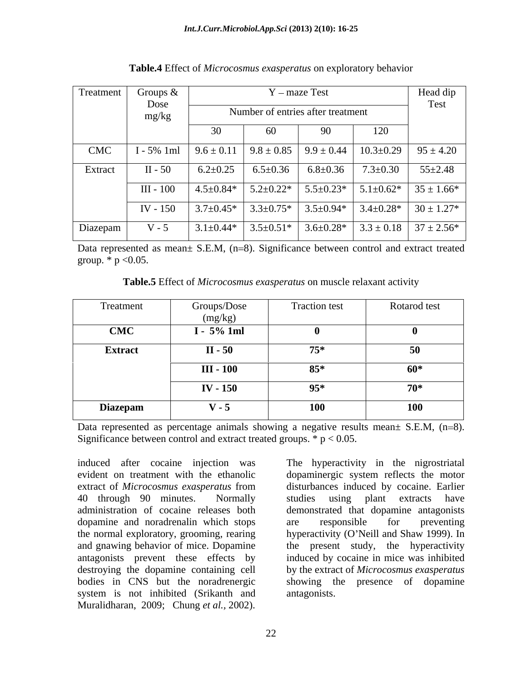| Treatment | Groups $\&$   |                                   |                 | Y – maze Test   |                 | Head dip                         |
|-----------|---------------|-----------------------------------|-----------------|-----------------|-----------------|----------------------------------|
|           | Dose<br>mg/kg | Number of entries after treatment |                 |                 |                 | Test                             |
|           |               | JV.                               |                 |                 | 120             |                                  |
| CMC       | $I - 5% 1ml$  | $9.6 \pm 0.11$                    | $9.8 \pm 0.85$  | $9.9 \pm 0.44$  | $10.3 \pm 0.29$ | $95 \pm 4.20$                    |
| Extract   | $II - 50$     | $6.2 \pm 0.25$                    | $6.5 \pm 0.36$  | $6.8 \pm 0.36$  | $7.3 \pm 0.30$  | $55 \pm 2.48$                    |
|           | III - 100     | $4.5 \pm 0.84*$                   | $5.2 \pm 0.22*$ | $5.5 \pm 0.23*$ | $5.1 \pm 0.62*$ | $35 \pm 1.66*$                   |
|           | IV - 150      | $3.7 \pm 0.45*$                   | $3.3 \pm 0.75*$ | $3.5 \pm 0.94*$ | $3.4 \pm 0.28*$ | $30 \pm 1.27*$                   |
| Diazepam  | $V - 5$       | $3.1 \pm 0.44*$                   | $3.5 \pm 0.51*$ | $3.6 \pm 0.28*$ |                 | $3.3 \pm 0.18$   $37 \pm 2.56^*$ |

**Table.4** Effect of *Microcosmus exasperatus* on exploratory behavior

Data represented as mean $\pm$  S.E.M, (n=8). Significance between control and extract treated group.  $*$  p < 0.05.

**Table.5** Effect of *Microcosmus exasperatus* on muscle relaxant activity

| Treatment       | Groups/Dose<br>(mg/kg) | <b>Traction test</b> | Rotarod test      |
|-----------------|------------------------|----------------------|-------------------|
| <b>CMC</b>      | $I - 5% 1ml$           |                      |                   |
| <b>Extract</b>  | $II - 50$              | $75*$                | 50<br>$\bm{\cup}$ |
|                 | III - 100              | $85*$                | 60*               |
|                 | <b>IV - 150</b>        | $95*$                | $70*$             |
| <b>Diazepam</b> | $V - 5$                | <b>100</b>           | 100               |

Data represented as percentage animals showing a negative results mean $\pm$  S.E.M, (n=8). Significance between control and extract treated groups.  $* p < 0.05$ .

induced after cocaine injection was The hyperactivity in the nigrostriatal evident on treatment with the ethanolic dopaminergic system reflects the motor extract of *Microcosmus exasperatus* from disturbances induced by cocaine. Earlier 40 through 90 minutes. Normally studies using plant extracts have administration of cocaine releases both demonstrated that dopamine antagonists dopamine and noradrenalin which stops the normal exploratory, grooming, rearing hyperactivity (O'Neill and Shaw 1999). In and gnawing behavior of mice. Dopamine the present study, the hyperactivity antagonists prevent these effects by induced by cocaine in mice was inhibited destroying the dopamine containing cell by the extract of *Microcosmus exasperatus*  bodies in CNS but the noradrenergic showing the presence of dopamine system is not inhibited (Srikanth and Muralidharan, 2009; Chung *et al.,* 2002).

are responsible for preventing antagonists.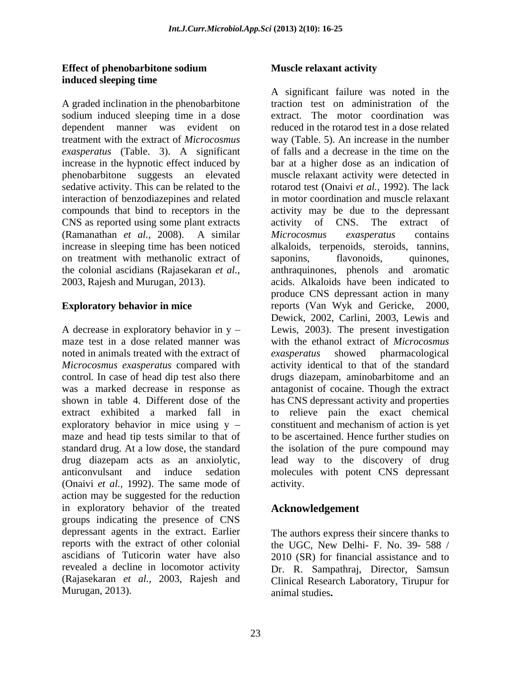## **Effect of phenobarbitone sodium induced sleeping time**

A graded inclination in the phenobarbitone sodium induced sleeping time in a dose *exasperatus* (Table. 3). A significant phenobarbitone suggests an elevated sedative activity. This can be related to the interaction of benzodiazepines and related CNS as reported using some plant extracts activity of CNS. The extract of on treatment with methanolic extract of saponins, flavonoids, quinones,

noted in animals treated with the extract of *exasperatus* showed pharmacological control*.* In case of head dip test also there exploratory behavior in mice using  $y -$  constituent and mechanism of action is yet maze and head tip tests similar to that of (Onaivi *et al.*, 1992). The same mode of activity. action may be suggested for the reduction in exploratory behavior of the treated groups indicating the presence of CNS depressant agents in the extract. Earlier The authors express their sincere thanks to reports with the extract of other colonial the UGC, New Delhi- F. No. 39- 588 / ascidians of Tuticorin water have also revealed a decline in locomotor activity Dr. R. Sampathraj, Director, Samsun (Rajasekaran *et al.,* 2003, Rajesh and Clinical Research Laboratory, Tirupur for Murugan, 2013).

## **Muscle relaxant activity**

dependent manner was evident on reduced in the rotarod test in a dose related treatment with the extract of *Microcosmus*  way (Table. 5). An increase in the number increase in the hypnotic effect induced by bar at a higher dose as an indication of compounds that bind to receptors in the activity may be due to the depressant (Ramanathan *et al.,* 2008). A similar increase in sleeping time has been noticed alkaloids, terpenoids, steroids, tannins, the colonial ascidians (Rajasekaran *et al.,* anthraquinones, phenols and aromatic 2003, Rajesh and Murugan, 2013). acids. Alkaloids have been indicated to **Exploratory behavior in mice** reports (Van Wyk and Gericke, 2000, A decrease in exploratory behavior in y Lewis, 2003). The present investigation maze test in a dose related manner was with the ethanol extract of *Microcosmus Microcosmus exasperatus* compared with activity identical to that of the standard was a marked decrease in response as antagonist of cocaine. Though the extract shown in table 4. Different dose of the has CNS depressant activity and properties extract exhibited a marked fall in to relieve pain the exact chemical standard drug. At a low dose, the standard the isolation of the pure compound may drug diazepam acts as an anxiolytic, lead way to the discovery of drug anticonvulsant and induce sedation molecules with potent CNS depressant A significant failure was noted in the traction test on administration of the extract. The motor coordination was of falls and a decrease in the time on the muscle relaxant activity were detected in rotarod test (Onaivi *et al.,* 1992). The lack in motor coordination and muscle relaxant activity of CNS. The extract of *Microcosmus exasperatus* contains saponins, flavonoids, quinones, produce CNS depressant action in many Dewick, 2002, Carlini, 2003, Lewis and *exasperatus* showed pharmacological drugs diazepam, aminobarbitome and an constituent and mechanism of action is yet to be ascertained. Hence further studies on activity.

# **Acknowledgement**

2010 (SR) for financial assistance and to animal studies**.**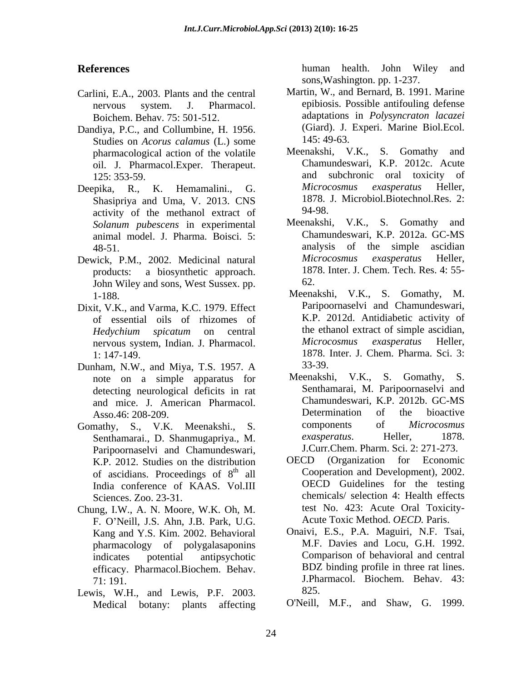- Carlini, E.A., 2003. Plants and the central Boichem. Behav. 75: 501-512.
- Dandiya, P.C., and Collumbine, H. 1956. (Giard). J.<br>Studies on Acorus calamus (J.) some 145: 49-63. Studies on *Acorus calamus* (L.) some pharmacological action of the volatile oil. J. Pharmacol.Exper. Therapeut. Char<br>125: 353-59 and
- Shasipriya and Uma, V. 2013. CNS 1878. activity of the methanol extract of animal model. J. Pharma. Boisci. 5:
- products: a biosynthetic approach. 187<br>John Wiley and sons West Sussex pp. 62. John Wiley and sons, West Sussex. pp.
- Dixit, V.K., and Varma, K.C. 1979. Effect of essential oils of rhizomes of
- Dunham, N.W., and Miya, T.S. 1957. A note on a simple apparatus for detecting neurological deficits in rat
- Gomathy, S., V.K. Meenakshi., S. components of *Microcosmus*<br>Senthamarai D Shanmugapriya M exasperatus. Heller, 1878. Senthamarai., D. Shanmugapriya., M. Paripoornaselvi and Chamundeswari, J.Curr.Chem. Pharm. Sci. 2: 271-273.<br>
K P 2012 Studies on the distribution OECD (Organization for Economic K.P. 2012. Studies on the distribution of ascidians. Proceedings of 8<sup>th</sup> all India conference of KAAS. Vol.III
- Chung, I.W., A. N. Moore, W.K. Oh, M. F. O Neill, J.S. Ahn, J.B. Park, U.G. Kang and Y.S. Kim. 2002. Behavioral pharmacology of polygalasaponins efficacy. Pharmacol.Biochem. Behav.
- Lewis, W.H., and Lewis, P.F. 2003. Medical botany: plants affecting

**References** human health. John Wiley and sons,Washington. pp. 1-237.

- nervous system. J. Pharmacol. epibiosis. Possible antifouling defense Martin, W., and Bernard, B. 1991. Marine adaptations in *Polysyncraton lacazei* (Giard). J. Experi. Marine Biol.Ecol. 145: 49-63.
- 125: 353-59. and subchronic oral toxicity of Deepika, R., K. Hemamalini., G. Microcosmus exasperatus Heller, Meenakshi, V.K., S. Gomathy and Chamundeswari, K.P. 2012c. Acute *Microcosmus exasperatus* Heller, 1878. J. Microbiol.Biotechnol.Res. 2: 94-98.
- *Solanum pubescens* in experimental 48-51. analysis of the simple ascidian Dewick, P.M., 2002. Medicinal natural *Microcosmus exasperatus* Heller, Meenakshi, V.K., S. Gomathy and Chamundeswari, K.P. 2012a. GC-MS *Microcosmus exasperatus* Heller, 1878. Inter. J. Chem. Tech. Res. 4: 55- 62.
	- 1-188. Meenakshi, V.K., S. Gomathy, M. *Hedychium spicatum* on central nervous system, Indian. J. Pharmacol. Microcosmus exasperatus Heller, 1: 147-149. 1878. Inter. J. Chem. Pharma. Sci. 3: Paripoornaselvi and Chamundeswari, K.P. 2012d. Antidiabetic activity of the ethanol extract of simple ascidian, *Microcosmus exasperatus* Heller, 33-39.
	- and mice. J. American Pharmacol. Chamundeswari, K.P. 2012b. GC-MS<br>Asso 46: 208-209 Determination of the bioactive Asso.46: 208-209. Determination of<br>
	nathy S VK Meenakshi S components of Meenakshi, V.K., S. Gomathy, S. Senthamarai, M. Paripoornaselvi and Chamundeswari, K.P. 2012b. GC-MS Determination of the bioactive components of *Microcosmus exasperatus*. Heller, 1878. J.Curr.Chem. Pharm. Sci. 2: 271-273.
	- <sup>th</sup> all Cooperation and Development), 2002. Sciences. Zoo. 23-31. chemicals/ selection 4: Health effects OECD (Organization for Economic OECD Guidelines for the testing test No. 423: Acute Oral Toxicity- Acute Toxic Method. *OECD.* Paris.
	- indicates potential antipsychotic Comparison of behavioral and central 71: 191. J.Pharmacol. Biochem. Behav. 43: Onaivi, E.S., P.A. Maguiri, N.F. Tsai, M.F. Davies and Locu, G.H. 1992. BDZ binding profile in three rat lines. 825.
		- O'Neill, M.F., and Shaw, G. 1999.